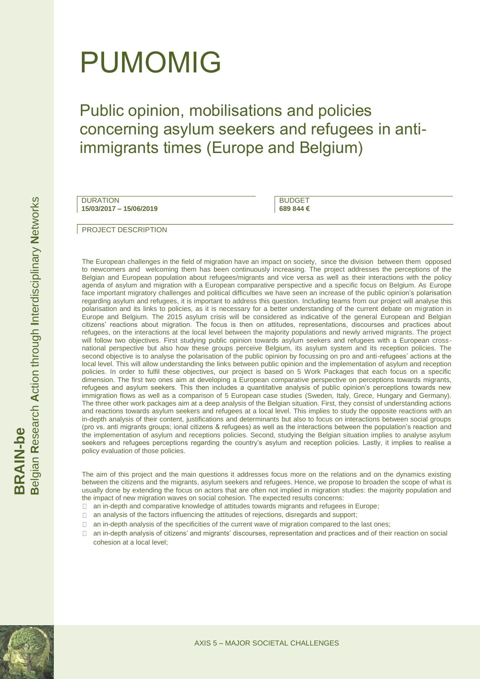# PUMOMIG

Public opinion, mobilisations and policies concerning asylum seekers and refugees in antiimmigrants times (Europe and Belgium)

DURATION **15/03/2017 – 15/06/2019**

**BUDGET 689 844 €**

PROJECT DESCRIPTION

The European challenges in the field of migration have an impact on society, since the division between them opposed to newcomers and welcoming them has been continuously increasing. The project addresses the perceptions of the Belgian and European population about refugees/migrants and vice versa as well as their interactions with the policy agenda of asylum and migration with a European comparative perspective and a specific focus on Belgium. As Europe face important migratory challenges and political difficulties we have seen an increase of the public opinion's polarisation regarding asylum and refugees, it is important to address this question. Including teams from our project will analyse this polarisation and its links to policies, as it is necessary for a better understanding of the current debate on migration in Europe and Belgium. The 2015 asylum crisis will be considered as indicative of the general European and Belgian citizens' reactions about migration. The focus is then on attitudes, representations, discourses and practices about refugees, on the interactions at the local level between the majority populations and newly arrived migrants. The project will follow two objectives. First studying public opinion towards asylum seekers and refugees with a European crossnational perspective but also how these groups perceive Belgium, its asylum system and its reception policies. The second objective is to analyse the polarisation of the public opinion by focussing on pro and anti-refugees' actions at the local level. This will allow understanding the links between public opinion and the implementation of asylum and reception policies. In order to fulfil these objectives, our project is based on 5 Work Packages that each focus on a specific dimension. The first two ones aim at developing a European comparative perspective on perceptions towards migrants, refugees and asylum seekers. This then includes a quantitative analysis of public opinion's perceptions towards new immigration flows as well as a comparison of 5 European case studies (Sweden, Italy, Grece, Hungary and Germany). The three other work packages aim at a deep analysis of the Belgian situation. First, they consist of understanding actions and reactions towards asylum seekers and refugees at a local level. This implies to study the opposite reactions with an in-depth analysis of their content, justifications and determinants but also to focus on interactions between social groups (pro vs. anti migrants groups; ional citizens & refugees) as well as the interactions between the population's reaction and the implementation of asylum and receptions policies. Second, studying the Belgian situation implies to analyse asylum seekers and refugees perceptions regarding the country's asylum and reception policies. Lastly, it implies to realise a policy evaluation of those policies.

The aim of this project and the main questions it addresses focus more on the relations and on the dynamics existing between the citizens and the migrants, asylum seekers and refugees. Hence, we propose to broaden the scope of what is usually done by extending the focus on actors that are often not implied in migration studies: the majority population and the impact of new migration waves on social cohesion. The expected results concerns:

- an in-depth and comparative knowledge of attitudes towards migrants and refugees in Europe;
- $\Box$ an analysis of the factors influencing the attitudes of rejections, disregards and support;
- $\Box$ an in-depth analysis of the specificities of the current wave of migration compared to the last ones;
- an in-depth analysis of citizens' and migrants' discourses, representation and practices and of their reaction on social  $\Box$ cohesion at a local level;





**N**etworks